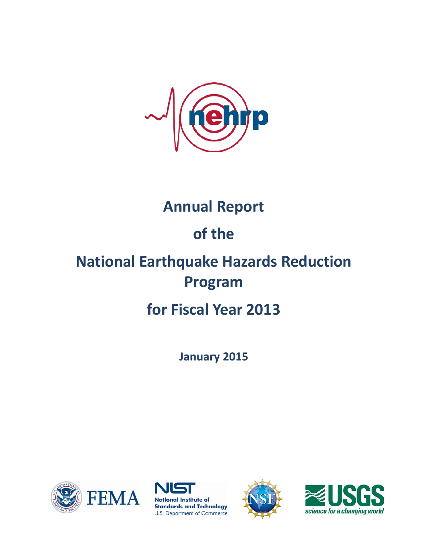

# **Annual Report**

# **of the**

# **National Earthquake Hazards Reduction Program**

# **for Fiscal Year 2013**

**January 2015**







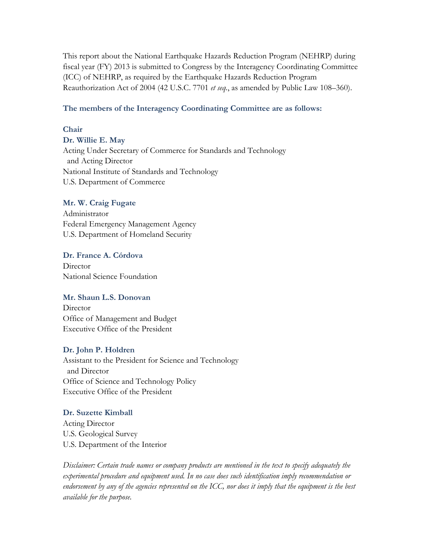This report about the National Earthquake Hazards Reduction Program (NEHRP) during fiscal year (FY) 2013 is submitted to Congress by the Interagency Coordinating Committee (ICC) of NEHRP, as required by the Earthquake Hazards Reduction Program Reauthorization Act of 2004 (42 U.S.C. 7701 *et seq.*, as amended by Public Law 108–360).

#### **The members of the Interagency Coordinating Committee are as follows:**

#### **Chair**

**Dr. Willie E. May**

Acting Under Secretary of Commerce for Standards and Technology and Acting Director National Institute of Standards and Technology U.S. Department of Commerce

#### **Mr. W. Craig Fugate**

Administrator Federal Emergency Management Agency U.S. Department of Homeland Security

**Dr. France A. Córdova Director** National Science Foundation

#### **Mr. Shaun L.S. Donovan**

**Director** Office of Management and Budget Executive Office of the President

#### **Dr. John P. Holdren**

Assistant to the President for Science and Technology and Director Office of Science and Technology Policy Executive Office of the President

#### **Dr. Suzette Kimball**

Acting Director U.S. Geological Survey U.S. Department of the Interior

*Disclaimer: Certain trade names or company products are mentioned in the text to specify adequately the experimental procedure and equipment used. In no case does such identification imply recommendation or endorsement by any of the agencies represented on the ICC, nor does it imply that the equipment is the best available for the purpose.*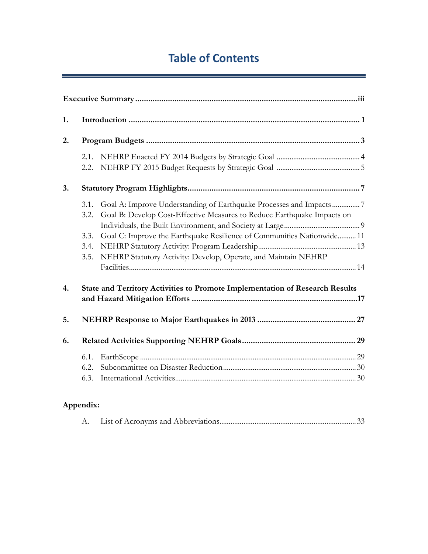# **Table of Contents**

J,

| 1. |              |                                                                                                                                               |  |
|----|--------------|-----------------------------------------------------------------------------------------------------------------------------------------------|--|
| 2. |              |                                                                                                                                               |  |
|    | 2.1.<br>2.2. |                                                                                                                                               |  |
| 3. |              |                                                                                                                                               |  |
|    | 3.1.<br>3.2. | Goal A: Improve Understanding of Earthquake Processes and Impacts7<br>Goal B: Develop Cost-Effective Measures to Reduce Earthquake Impacts on |  |
|    | 3.3.         | Goal C: Improve the Earthquake Resilience of Communities Nationwide 11                                                                        |  |
|    | 3.4.         |                                                                                                                                               |  |
|    | 3.5.         | NEHRP Statutory Activity: Develop, Operate, and Maintain NEHRP                                                                                |  |
| 4. |              | State and Territory Activities to Promote Implementation of Research Results                                                                  |  |
|    |              |                                                                                                                                               |  |
| 5. |              |                                                                                                                                               |  |
| 6. |              |                                                                                                                                               |  |
|    | 6.1.         |                                                                                                                                               |  |
|    | 6.2.         |                                                                                                                                               |  |
|    | 6.3.         |                                                                                                                                               |  |

# **Appendix:**

|--|--|--|--|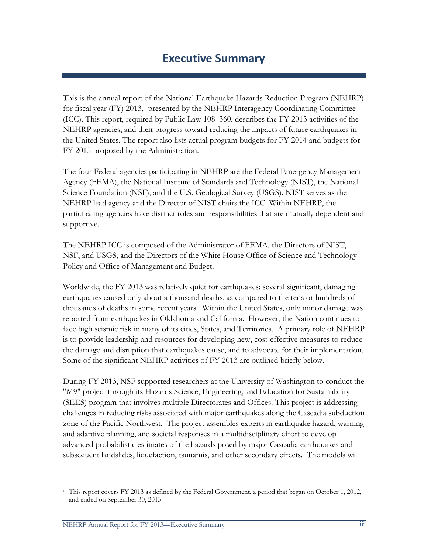# **Executive Summary**

This is the annual report of the National Earthquake Hazards Reduction Program (NEHRP) for fiscal year (FY)  $2013<sup>1</sup>$  $2013<sup>1</sup>$  $2013<sup>1</sup>$  presented by the NEHRP Interagency Coordinating Committee (ICC). This report, required by Public Law 108–360, describes the FY 2013 activities of the NEHRP agencies, and their progress toward reducing the impacts of future earthquakes in the United States. The report also lists actual program budgets for FY 2014 and budgets for FY 2015 proposed by the Administration.

The four Federal agencies participating in NEHRP are the Federal Emergency Management Agency (FEMA), the National Institute of Standards and Technology (NIST), the National Science Foundation (NSF), and the U.S. Geological Survey (USGS). NIST serves as the NEHRP lead agency and the Director of NIST chairs the ICC. Within NEHRP, the participating agencies have distinct roles and responsibilities that are mutually dependent and supportive.

The NEHRP ICC is composed of the Administrator of FEMA, the Directors of NIST, NSF, and USGS, and the Directors of the White House Office of Science and Technology Policy and Office of Management and Budget.

Worldwide, the FY 2013 was relatively quiet for earthquakes: several significant, damaging earthquakes caused only about a thousand deaths, as compared to the tens or hundreds of thousands of deaths in some recent years. Within the United States, only minor damage was reported from earthquakes in Oklahoma and California. However, the Nation continues to face high seismic risk in many of its cities, States, and Territories. A primary role of NEHRP is to provide leadership and resources for developing new, cost-effective measures to reduce the damage and disruption that earthquakes cause, and to advocate for their implementation. Some of the significant NEHRP activities of FY 2013 are outlined briefly below.

During FY 2013, NSF supported researchers at the University of Washington to conduct the "M9" project through its Hazards Science, Engineering, and Education for Sustainability (SEES) program that involves multiple Directorates and Offices. This project is addressing challenges in reducing risks associated with major earthquakes along the Cascadia subduction zone of the Pacific Northwest. The project assembles experts in earthquake hazard, warning and adaptive planning, and societal responses in a multidisciplinary effort to develop advanced probabilistic estimates of the hazards posed by major Cascadia earthquakes and subsequent landslides, liquefaction, tsunamis, and other secondary effects. The models will

<span id="page-4-0"></span><sup>1</sup> This report covers FY 2013 as defined by the Federal Government, a period that began on October 1, 2012, and ended on September 30, 2013.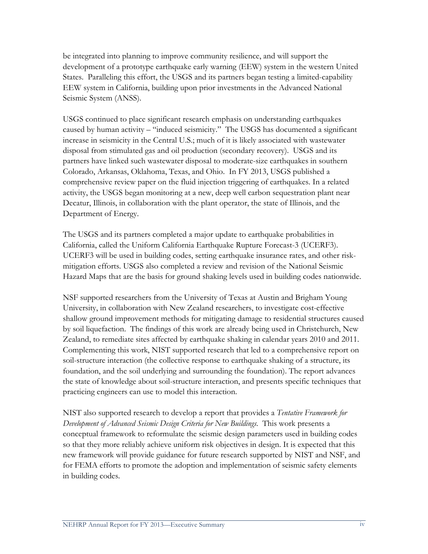be integrated into planning to improve community resilience, and will support the development of a prototype earthquake early warning (EEW) system in the western United States. Paralleling this effort, the USGS and its partners began testing a limited-capability EEW system in California, building upon prior investments in the Advanced National Seismic System (ANSS).

USGS continued to place significant research emphasis on understanding earthquakes caused by human activity – "induced seismicity." The USGS has documented a significant increase in seismicity in the Central U.S.; much of it is likely associated with wastewater disposal from stimulated gas and oil production (secondary recovery). USGS and its partners have linked such wastewater disposal to moderate-size earthquakes in southern Colorado, Arkansas, Oklahoma, Texas, and Ohio. In FY 2013, USGS published a comprehensive review paper on the fluid injection triggering of earthquakes. In a related activity, the USGS began monitoring at a new, deep well carbon sequestration plant near Decatur, Illinois, in collaboration with the plant operator, the state of Illinois, and the Department of Energy.

The USGS and its partners completed a major update to earthquake probabilities in California, called the Uniform California Earthquake Rupture Forecast-3 (UCERF3). UCERF3 will be used in building codes, setting earthquake insurance rates, and other riskmitigation efforts. USGS also completed a review and revision of the National Seismic Hazard Maps that are the basis for ground shaking levels used in building codes nationwide.

NSF supported researchers from the University of Texas at Austin and Brigham Young University, in collaboration with New Zealand researchers, to investigate cost-effective shallow ground improvement methods for mitigating damage to residential structures caused by soil liquefaction. The findings of this work are already being used in Christchurch, New Zealand, to remediate sites affected by earthquake shaking in calendar years 2010 and 2011. Complementing this work, NIST supported research that led to a comprehensive report on soil-structure interaction (the collective response to earthquake shaking of a structure, its foundation, and the soil underlying and surrounding the foundation). The report advances the state of knowledge about soil-structure interaction, and presents specific techniques that practicing engineers can use to model this interaction.

NIST also supported research to develop a report that provides a *Tentative Framework for Development of Advanced Seismic Design Criteria for New Buildings*. This work presents a conceptual framework to reformulate the seismic design parameters used in building codes so that they more reliably achieve uniform risk objectives in design. It is expected that this new framework will provide guidance for future research supported by NIST and NSF, and for FEMA efforts to promote the adoption and implementation of seismic safety elements in building codes.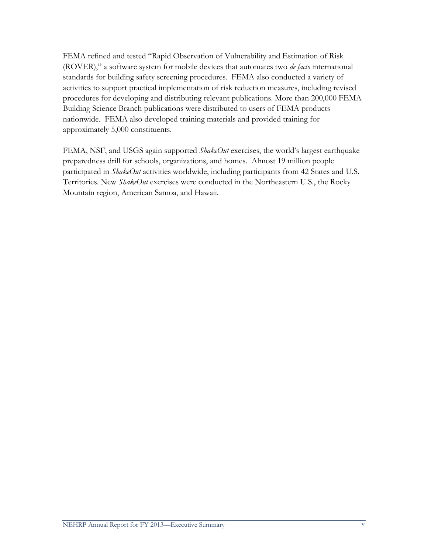FEMA refined and tested "Rapid Observation of Vulnerability and Estimation of Risk (ROVER)," a software system for mobile devices that automates two *de facto* international standards for building safety screening procedures. FEMA also conducted a variety of activities to support practical implementation of risk reduction measures, including revised procedures for developing and distributing relevant publications. More than 200,000 FEMA Building Science Branch publications were distributed to users of FEMA products nationwide. FEMA also developed training materials and provided training for approximately 5,000 constituents.

FEMA, NSF, and USGS again supported *ShakeOut* exercises, the world's largest earthquake preparedness drill for schools, organizations, and homes. Almost 19 million people participated in *ShakeOut* activities worldwide, including participants from 42 States and U.S. Territories. New *ShakeOut* exercises were conducted in the Northeastern U.S., the Rocky Mountain region, American Samoa, and Hawaii.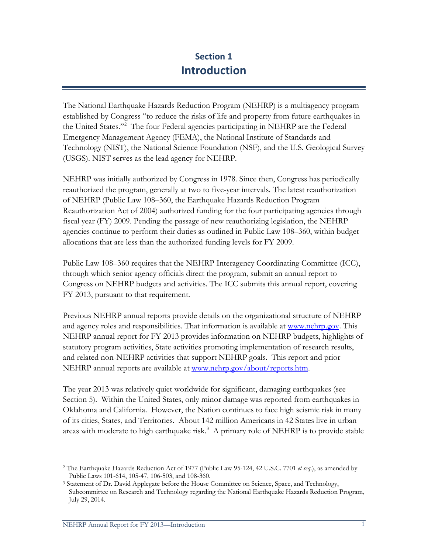# **Section 1 Introduction**

The National Earthquake Hazards Reduction Program (NEHRP) is a multiagency program established by Congress "to reduce the risks of life and property from future earthquakes in the United States."[2](#page-8-0) The four Federal agencies participating in NEHRP are the Federal Emergency Management Agency (FEMA), the National Institute of Standards and Technology (NIST), the National Science Foundation (NSF), and the U.S. Geological Survey (USGS). NIST serves as the lead agency for NEHRP.

NEHRP was initially authorized by Congress in 1978. Since then, Congress has periodically reauthorized the program, generally at two to five-year intervals. The latest reauthorization of NEHRP (Public Law 108–360, the Earthquake Hazards Reduction Program Reauthorization Act of 2004) authorized funding for the four participating agencies through fiscal year (FY) 2009. Pending the passage of new reauthorizing legislation, the NEHRP agencies continue to perform their duties as outlined in Public Law 108–360, within budget allocations that are less than the authorized funding levels for FY 2009.

Public Law 108–360 requires that the NEHRP Interagency Coordinating Committee (ICC), through which senior agency officials direct the program, submit an annual report to Congress on NEHRP budgets and activities. The ICC submits this annual report, covering FY 2013, pursuant to that requirement.

Previous NEHRP annual reports provide details on the organizational structure of NEHRP and agency roles and responsibilities. That information is available at [www.nehrp.gov.](http://www.nehrp.gov/) This NEHRP annual report for FY 2013 provides information on NEHRP budgets, highlights of statutory program activities, State activities promoting implementation of research results, and related non-NEHRP activities that support NEHRP goals. This report and prior NEHRP annual reports are available at [www.nehrp.gov/about/reports.htm.](http://www.nehrp.gov/about/reports.htm)

The year 2013 was relatively quiet worldwide for significant, damaging earthquakes (see Section 5). Within the United States, only minor damage was reported from earthquakes in Oklahoma and California. However, the Nation continues to face high seismic risk in many of its cities, States, and Territories. About 142 million Americans in 42 States live in urban areas with moderate to high earthquake risk.<sup>[3](#page-8-1)</sup> A primary role of NEHRP is to provide stable

<span id="page-8-0"></span><sup>2</sup> The Earthquake Hazards Reduction Act of 1977 (Public Law 95-124, 42 U.S.C. 7701 *et seq.*), as amended by Public Laws 101-614, 105-47, 106-503, and 108-360.

<span id="page-8-1"></span><sup>3</sup> Statement of Dr. David Applegate before the House Committee on Science, Space, and Technology, Subcommittee on Research and Technology regarding the National Earthquake Hazards Reduction Program, July 29, 2014.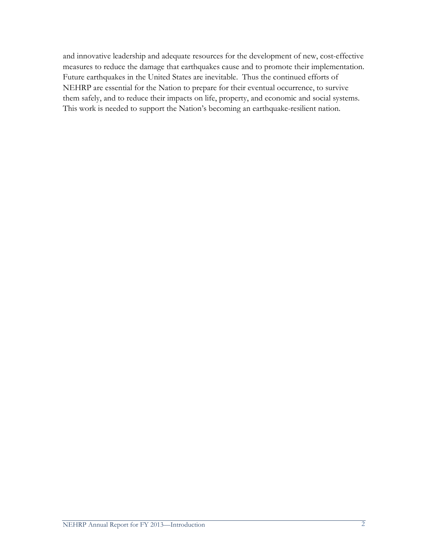and innovative leadership and adequate resources for the development of new, cost-effective measures to reduce the damage that earthquakes cause and to promote their implementation. Future earthquakes in the United States are inevitable. Thus the continued efforts of NEHRP are essential for the Nation to prepare for their eventual occurrence, to survive them safely, and to reduce their impacts on life, property, and economic and social systems. This work is needed to support the Nation's becoming an earthquake-resilient nation.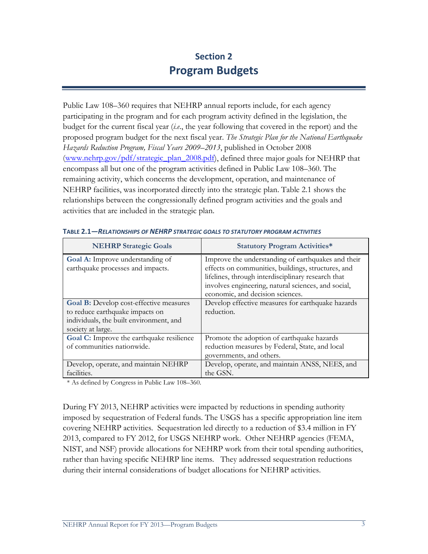# **Section 2 Program Budgets**

Public Law 108–360 requires that NEHRP annual reports include, for each agency participating in the program and for each program activity defined in the legislation, the budget for the current fiscal year (*i.e*., the year following that covered in the report) and the proposed program budget for the next fiscal year. *The Strategic Plan for the National Earthquake Hazards Reduction Program, Fiscal Years 2009–2013*, published in October 2008 (www.nehrp.gov/pdf/strategic\_plan\_2008.pdf), defined three major goals for NEHRP that encompass all but one of the program activities defined in Public Law 108–360. The remaining activity, which concerns the development, operation, and maintenance of NEHRP facilities, was incorporated directly into the strategic plan. Table 2.1 shows the relationships between the congressionally defined program activities and the goals and activities that are included in the strategic plan.

| <b>NEHRP Strategic Goals</b>                                                                                                                      | <b>Statutory Program Activities*</b>                                                                                                                                                                                                                      |
|---------------------------------------------------------------------------------------------------------------------------------------------------|-----------------------------------------------------------------------------------------------------------------------------------------------------------------------------------------------------------------------------------------------------------|
| <b>Goal A:</b> Improve understanding of<br>earthquake processes and impacts.                                                                      | Improve the understanding of earthquakes and their<br>effects on communities, buildings, structures, and<br>lifelines, through interdisciplinary research that<br>involves engineering, natural sciences, and social,<br>economic, and decision sciences. |
| <b>Goal B:</b> Develop cost-effective measures<br>to reduce earthquake impacts on<br>individuals, the built environment, and<br>society at large. | Develop effective measures for earthquake hazards<br>reduction.                                                                                                                                                                                           |
| Goal C: Improve the earthquake resilience<br>of communities nationwide.                                                                           | Promote the adoption of earthquake hazards<br>reduction measures by Federal, State, and local<br>governments, and others.                                                                                                                                 |
| Develop, operate, and maintain NEHRP<br>facilities.                                                                                               | Develop, operate, and maintain ANSS, NEES, and<br>the GSN.                                                                                                                                                                                                |

|  | <b>TABLE 2.1—RELATIONSHIPS OF NEHRP STRATEGIC GOALS TO STATUTORY PROGRAM ACTIVITIES</b> |
|--|-----------------------------------------------------------------------------------------|
|  |                                                                                         |

\* As defined by Congress in Public Law 108–360.

During FY 2013, NEHRP activities were impacted by reductions in spending authority imposed by sequestration of Federal funds. The USGS has a specific appropriation line item covering NEHRP activities. Sequestration led directly to a reduction of \$3.4 million in FY 2013, compared to FY 2012, for USGS NEHRP work. Other NEHRP agencies (FEMA, NIST, and NSF) provide allocations for NEHRP work from their total spending authorities, rather than having specific NEHRP line items. They addressed sequestration reductions during their internal considerations of budget allocations for NEHRP activities.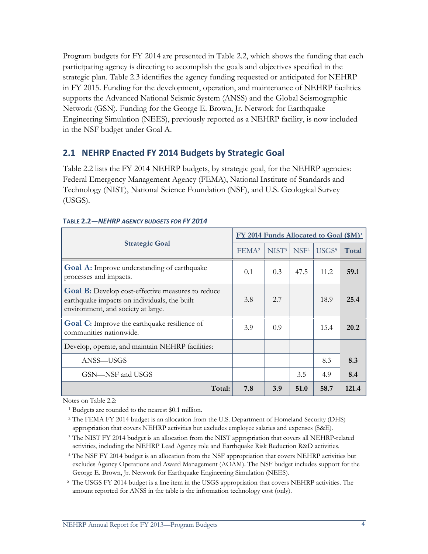Program budgets for FY 2014 are presented in Table 2.2, which shows the funding that each participating agency is directing to accomplish the goals and objectives specified in the strategic plan. Table 2.3 identifies the agency funding requested or anticipated for NEHRP in FY 2015. Funding for the development, operation, and maintenance of NEHRP facilities supports the Advanced National Seismic System (ANSS) and the Global Seismographic Network (GSN). Funding for the George E. Brown, Jr. Network for Earthquake Engineering Simulation (NEES), previously reported as a NEHRP facility, is now included in the NSF budget under Goal A.

# **2.1 NEHRP Enacted FY 2014 Budgets by Strategic Goal**

Table 2.2 lists the FY 2014 NEHRP budgets, by strategic goal, for the NEHRP agencies: Federal Emergency Management Agency (FEMA), National Institute of Standards and Technology (NIST), National Science Foundation (NSF), and U.S. Geological Survey (USGS).

|                                                                                                                                                |                   | FY 2014 Funds Allocated to Goal (\$M) <sup>1</sup> |                  |                   |       |
|------------------------------------------------------------------------------------------------------------------------------------------------|-------------------|----------------------------------------------------|------------------|-------------------|-------|
| <b>Strategic Goal</b>                                                                                                                          | FEMA <sup>2</sup> | NIST <sup>3</sup>                                  | NSF <sup>4</sup> | USGS <sup>5</sup> | Total |
| <b>Goal A:</b> Improve understanding of earthquake<br>processes and impacts.                                                                   | 0.1               | 0.3                                                | 47.5             | 11.2              | 59.1  |
| <b>Goal B:</b> Develop cost-effective measures to reduce<br>earthquake impacts on individuals, the built<br>environment, and society at large. | 3.8               | 2.7                                                |                  | 18.9              | 25.4  |
| <b>Goal C:</b> Improve the earthquake resilience of<br>communities nationwide.                                                                 | 3.9               | 0.9                                                |                  | 15.4              | 20.2  |
| Develop, operate, and maintain NEHRP facilities:                                                                                               |                   |                                                    |                  |                   |       |
| ANSS—USGS                                                                                                                                      |                   |                                                    |                  | 8.3               | 8.3   |
| GSN—NSF and USGS                                                                                                                               |                   |                                                    | 3.5              | 4.9               | 8.4   |
| Total:                                                                                                                                         | 7.8               | 3.9                                                | 51.0             | 58.7              | 121.4 |

#### **TABLE 2.2—***NEHRP AGENCY BUDGETS FOR FY 2014*

Notes on Table 2.2:

<sup>1</sup> Budgets are rounded to the nearest \$0.1 million.

<sup>2</sup> The FEMA FY 2014 budget is an allocation from the U.S. Department of Homeland Security (DHS) appropriation that covers NEHRP activities but excludes employee salaries and expenses (S&E).

- <sup>3</sup> The NIST FY 2014 budget is an allocation from the NIST appropriation that covers all NEHRP-related activities, including the NEHRP Lead Agency role and Earthquake Risk Reduction R&D activities.
- <sup>4</sup> The NSF FY 2014 budget is an allocation from the NSF appropriation that covers NEHRP activities but excludes Agency Operations and Award Management (AOAM). The NSF budget includes support for the George E. Brown, Jr. Network for Earthquake Engineering Simulation (NEES).

<sup>5</sup> The USGS FY 2014 budget is a line item in the USGS appropriation that covers NEHRP activities. The amount reported for ANSS in the table is the information technology cost (only).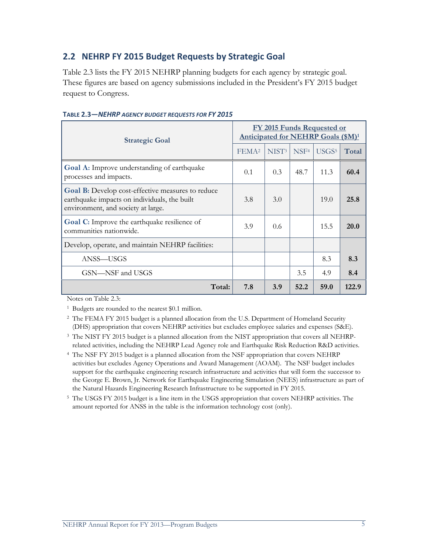# **2.2 NEHRP FY 2015 Budget Requests by Strategic Goal**

Table 2.3 lists the FY 2015 NEHRP planning budgets for each agency by strategic goal. These figures are based on agency submissions included in the President's FY 2015 budget request to Congress.

| <b>Strategic Goal</b>                                                                                                                   | <b>FY 2015 Funds Requested or</b><br>Anticipated for NEHRP Goals (\$M) <sup>1</sup> |                   |                  |                   |       |
|-----------------------------------------------------------------------------------------------------------------------------------------|-------------------------------------------------------------------------------------|-------------------|------------------|-------------------|-------|
|                                                                                                                                         | FEMA <sup>2</sup>                                                                   | NIST <sup>3</sup> | NSF <sup>4</sup> | USGS <sup>5</sup> | Total |
| Goal A: Improve understanding of earthquake<br>processes and impacts.                                                                   | 0.1                                                                                 | 0.3               | 48.7             | 11.3              | 60.4  |
| Goal B: Develop cost-effective measures to reduce<br>earthquake impacts on individuals, the built<br>environment, and society at large. | 3.8                                                                                 | 3.0               |                  | 19.0              | 25.8  |
| Goal C: Improve the earthquake resilience of<br>communities nationwide.                                                                 | 3.9                                                                                 | $0.6^{\circ}$     |                  | 15.5              | 20.0  |
| Develop, operate, and maintain NEHRP facilities:                                                                                        |                                                                                     |                   |                  |                   |       |
| ANSS—USGS                                                                                                                               |                                                                                     |                   |                  | 8.3               | 8.3   |
| GSN—NSF and USGS                                                                                                                        |                                                                                     |                   | 3.5              | 4.9               | 8.4   |
| Total:                                                                                                                                  | 7.8                                                                                 | 3.9               | 52.2             | 59.0              | 122.9 |

#### **TABLE 2.3—***NEHRP AGENCY BUDGET REQUESTS FOR FY 2015*

Notes on Table 2.3:

<sup>1</sup> Budgets are rounded to the nearest \$0.1 million.

- <sup>2</sup> The FEMA FY 2015 budget is a planned allocation from the U.S. Department of Homeland Security (DHS) appropriation that covers NEHRP activities but excludes employee salaries and expenses (S&E).
- <sup>3</sup> The NIST FY 2015 budget is a planned allocation from the NIST appropriation that covers all NEHRPrelated activities, including the NEHRP Lead Agency role and Earthquake Risk Reduction R&D activities.
- <sup>4</sup> The NSF FY 2015 budget is a planned allocation from the NSF appropriation that covers NEHRP activities but excludes Agency Operations and Award Management (AOAM). The NSF budget includes support for the earthquake engineering research infrastructure and activities that will form the successor to the George E. Brown, Jr. Network for Earthquake Engineering Simulation (NEES) infrastructure as part of the Natural Hazards Engineering Research Infrastructure to be supported in FY 2015.
- <sup>5</sup> The USGS FY 2015 budget is a line item in the USGS appropriation that covers NEHRP activities. The amount reported for ANSS in the table is the information technology cost (only).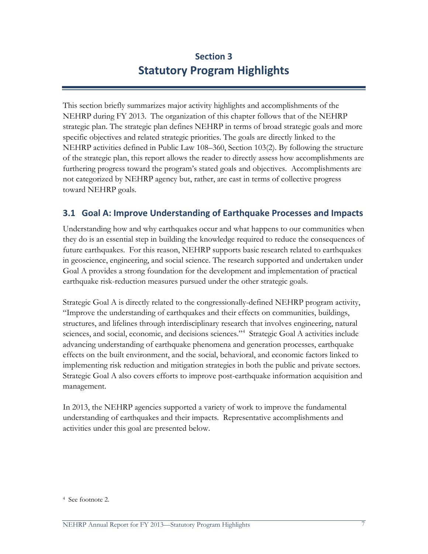# **Section 3 Statutory Program Highlights**

This section briefly summarizes major activity highlights and accomplishments of the NEHRP during FY 2013. The organization of this chapter follows that of the NEHRP strategic plan. The strategic plan defines NEHRP in terms of broad strategic goals and more specific objectives and related strategic priorities. The goals are directly linked to the NEHRP activities defined in Public Law 108–360, Section 103(2). By following the structure of the strategic plan, this report allows the reader to directly assess how accomplishments are furthering progress toward the program's stated goals and objectives. Accomplishments are not categorized by NEHRP agency but, rather, are cast in terms of collective progress toward NEHRP goals.

# **3.1 Goal A: Improve Understanding of Earthquake Processes and Impacts**

Understanding how and why earthquakes occur and what happens to our communities when they do is an essential step in building the knowledge required to reduce the consequences of future earthquakes. For this reason, NEHRP supports basic research related to earthquakes in geoscience, engineering, and social science. The research supported and undertaken under Goal A provides a strong foundation for the development and implementation of practical earthquake risk-reduction measures pursued under the other strategic goals.

Strategic Goal A is directly related to the congressionally-defined NEHRP program activity, "Improve the understanding of earthquakes and their effects on communities, buildings, structures, and lifelines through interdisciplinary research that involves engineering, natural sciences, and social, economic, and decisions sciences."<sup>[4](#page-14-0)</sup> Strategic Goal A activities include advancing understanding of earthquake phenomena and generation processes, earthquake effects on the built environment, and the social, behavioral, and economic factors linked to implementing risk reduction and mitigation strategies in both the public and private sectors. Strategic Goal A also covers efforts to improve post-earthquake information acquisition and management.

In 2013, the NEHRP agencies supported a variety of work to improve the fundamental understanding of earthquakes and their impacts. Representative accomplishments and activities under this goal are presented below.

<span id="page-14-0"></span><sup>4</sup> See footnote 2.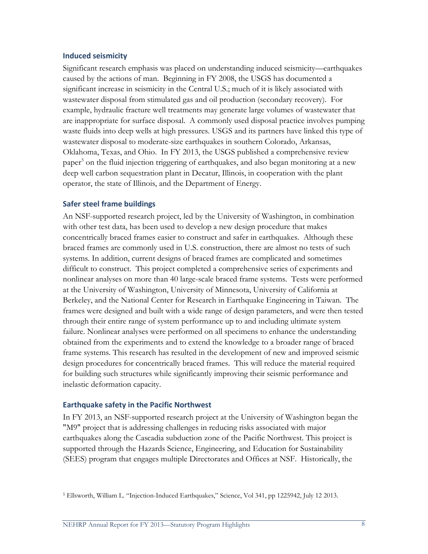#### **Induced seismicity**

Significant research emphasis was placed on understanding induced seismicity—earthquakes caused by the actions of man. Beginning in FY 2008, the USGS has documented a significant increase in seismicity in the Central U.S.; much of it is likely associated with wastewater disposal from stimulated gas and oil production (secondary recovery). For example, hydraulic fracture well treatments may generate large volumes of wastewater that are inappropriate for surface disposal. A commonly used disposal practice involves pumping waste fluids into deep wells at high pressures. USGS and its partners have linked this type of wastewater disposal to moderate-size earthquakes in southern Colorado, Arkansas, Oklahoma, Texas, and Ohio. In FY 2013, the USGS published a comprehensive review paper<sup>[5](#page-15-0)</sup> on the fluid injection triggering of earthquakes, and also began monitoring at a new deep well carbon sequestration plant in Decatur, Illinois, in cooperation with the plant operator, the state of Illinois, and the Department of Energy.

#### **Safer steel frame buildings**

An NSF-supported research project, led by the University of Washington, in combination with other test data, has been used to develop a new design procedure that makes concentrically braced frames easier to construct and safer in earthquakes. Although these braced frames are commonly used in U.S. construction, there are almost no tests of such systems. In addition, current designs of braced frames are complicated and sometimes difficult to construct. This project completed a comprehensive series of experiments and nonlinear analyses on more than 40 large-scale braced frame systems. Tests were performed at the University of Washington, University of Minnesota, University of California at Berkeley, and the National Center for Research in Earthquake Engineering in Taiwan. The frames were designed and built with a wide range of design parameters, and were then tested through their entire range of system performance up to and including ultimate system failure. Nonlinear analyses were performed on all specimens to enhance the understanding obtained from the experiments and to extend the knowledge to a broader range of braced frame systems. This research has resulted in the development of new and improved seismic design procedures for concentrically braced frames. This will reduce the material required for building such structures while significantly improving their seismic performance and inelastic deformation capacity.

#### **Earthquake safety in the Pacific Northwest**

In FY 2013, an NSF-supported research project at the University of Washington began the "M9" project that is addressing challenges in reducing risks associated with major earthquakes along the Cascadia subduction zone of the Pacific Northwest. This project is supported through the Hazards Science, Engineering, and Education for Sustainability (SEES) program that engages multiple Directorates and Offices at NSF. Historically, the

<span id="page-15-0"></span><sup>5</sup> Ellsworth, William L. "Injection-Induced Earthquakes," Science, Vol 341, pp 1225942, July 12 2013.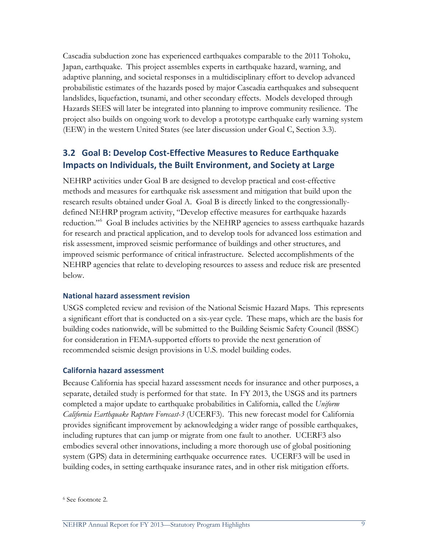Cascadia subduction zone has experienced earthquakes comparable to the 2011 Tohoku, Japan, earthquake. This project assembles experts in earthquake hazard, warning, and adaptive planning, and societal responses in a multidisciplinary effort to develop advanced probabilistic estimates of the hazards posed by major Cascadia earthquakes and subsequent landslides, liquefaction, tsunami, and other secondary effects. Models developed through Hazards SEES will later be integrated into planning to improve community resilience. The project also builds on ongoing work to develop a prototype earthquake early warning system (EEW) in the western United States (see later discussion under Goal C, Section 3.3).

# **3.2 Goal B: Develop Cost-Effective Measures to Reduce Earthquake Impacts on Individuals, the Built Environment, and Society at Large**

NEHRP activities under Goal B are designed to develop practical and cost-effective methods and measures for earthquake risk assessment and mitigation that build upon the research results obtained under Goal A. Goal B is directly linked to the congressionallydefined NEHRP program activity, "Develop effective measures for earthquake hazards reduction."<sup>[6](#page-16-0)</sup> Goal B includes activities by the NEHRP agencies to assess earthquake hazards for research and practical application, and to develop tools for advanced loss estimation and risk assessment, improved seismic performance of buildings and other structures, and improved seismic performance of critical infrastructure. Selected accomplishments of the NEHRP agencies that relate to developing resources to assess and reduce risk are presented below.

#### **National hazard assessment revision**

USGS completed review and revision of the National Seismic Hazard Maps. This represents a significant effort that is conducted on a six-year cycle. These maps, which are the basis for building codes nationwide, will be submitted to the Building Seismic Safety Council (BSSC) for consideration in FEMA-supported efforts to provide the next generation of recommended seismic design provisions in U.S. model building codes.

#### **California hazard assessment**

Because California has special hazard assessment needs for insurance and other purposes, a separate, detailed study is performed for that state. In FY 2013, the USGS and its partners completed a major update to earthquake probabilities in California, called the *Uniform California Earthquake Rupture Forecast-3* (UCERF3). This new forecast model for California provides significant improvement by acknowledging a wider range of possible earthquakes, including ruptures that can jump or migrate from one fault to another. UCERF3 also embodies several other innovations, including a more thorough use of global positioning system (GPS) data in determining earthquake occurrence rates. UCERF3 will be used in building codes, in setting earthquake insurance rates, and in other risk mitigation efforts.

<span id="page-16-0"></span><sup>6</sup> See footnote 2.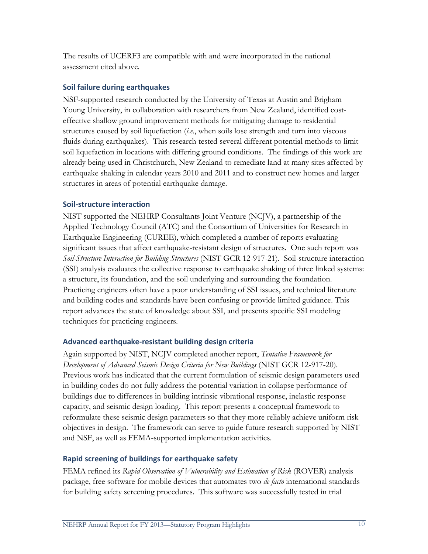The results of UCERF3 are compatible with and were incorporated in the national assessment cited above.

## **Soil failure during earthquakes**

NSF-supported research conducted by the University of Texas at Austin and Brigham Young University, in collaboration with researchers from New Zealand, identified costeffective shallow ground improvement methods for mitigating damage to residential structures caused by soil liquefaction (*i.e*., when soils lose strength and turn into viscous fluids during earthquakes). This research tested several different potential methods to limit soil liquefaction in locations with differing ground conditions. The findings of this work are already being used in Christchurch, New Zealand to remediate land at many sites affected by earthquake shaking in calendar years 2010 and 2011 and to construct new homes and larger structures in areas of potential earthquake damage.

## **Soil-structure interaction**

NIST supported the NEHRP Consultants Joint Venture (NCJV), a partnership of the Applied Technology Council (ATC) and the Consortium of Universities for Research in Earthquake Engineering (CUREE), which completed a number of reports evaluating significant issues that affect earthquake-resistant design of structures. One such report was *Soil-Structure Interaction for Building Structures* (NIST GCR 12-917-21). Soil-structure interaction (SSI) analysis evaluates the collective response to earthquake shaking of three linked systems: a structure, its foundation, and the soil underlying and surrounding the foundation. Practicing engineers often have a poor understanding of SSI issues, and technical literature and building codes and standards have been confusing or provide limited guidance. This report advances the state of knowledge about SSI, and presents specific SSI modeling techniques for practicing engineers.

# **Advanced earthquake-resistant building design criteria**

Again supported by NIST, NCJV completed another report, *Tentative Framework for Development of Advanced Seismic Design Criteria for New Buildings* (NIST GCR 12-917-20). Previous work has indicated that the current formulation of seismic design parameters used in building codes do not fully address the potential variation in collapse performance of buildings due to differences in building intrinsic vibrational response, inelastic response capacity, and seismic design loading. This report presents a conceptual framework to reformulate these seismic design parameters so that they more reliably achieve uniform risk objectives in design. The framework can serve to guide future research supported by NIST and NSF, as well as FEMA-supported implementation activities.

#### **Rapid screening of buildings for earthquake safety**

FEMA refined its *Rapid Observation of Vulnerability and Estimation of Risk* (ROVER) analysis package, free software for mobile devices that automates two *de facto* international standards for building safety screening procedures. This software was successfully tested in trial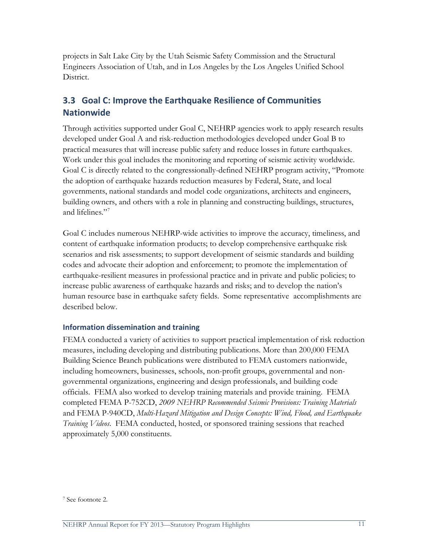projects in Salt Lake City by the Utah Seismic Safety Commission and the Structural Engineers Association of Utah, and in Los Angeles by the Los Angeles Unified School District.

# **3.3 Goal C: Improve the Earthquake Resilience of Communities Nationwide**

Through activities supported under Goal C, NEHRP agencies work to apply research results developed under Goal A and risk-reduction methodologies developed under Goal B to practical measures that will increase public safety and reduce losses in future earthquakes. Work under this goal includes the monitoring and reporting of seismic activity worldwide. Goal C is directly related to the congressionally-defined NEHRP program activity, "Promote the adoption of earthquake hazards reduction measures by Federal, State, and local governments, national standards and model code organizations, architects and engineers, building owners, and others with a role in planning and constructing buildings, structures, and lifelines."<sup>[7](#page-18-0)</sup>

Goal C includes numerous NEHRP-wide activities to improve the accuracy, timeliness, and content of earthquake information products; to develop comprehensive earthquake risk scenarios and risk assessments; to support development of seismic standards and building codes and advocate their adoption and enforcement; to promote the implementation of earthquake-resilient measures in professional practice and in private and public policies; to increase public awareness of earthquake hazards and risks; and to develop the nation's human resource base in earthquake safety fields. Some representative accomplishments are described below.

#### **Information dissemination and training**

FEMA conducted a variety of activities to support practical implementation of risk reduction measures, including developing and distributing publications. More than 200,000 FEMA Building Science Branch publications were distributed to FEMA customers nationwide, including homeowners, businesses, schools, non-profit groups, governmental and nongovernmental organizations, engineering and design professionals, and building code officials. FEMA also worked to develop training materials and provide training. FEMA completed FEMA P-752CD, *2009 NEHRP Recommended Seismic Provisions: Training Materials*  and FEMA P-940CD, *Multi-Hazard Mitigation and Design Concepts: Wind, Flood, and Earthquake Training Videos*. FEMA conducted, hosted, or sponsored training sessions that reached approximately 5,000 constituents.

<span id="page-18-0"></span><sup>7</sup> See footnote 2.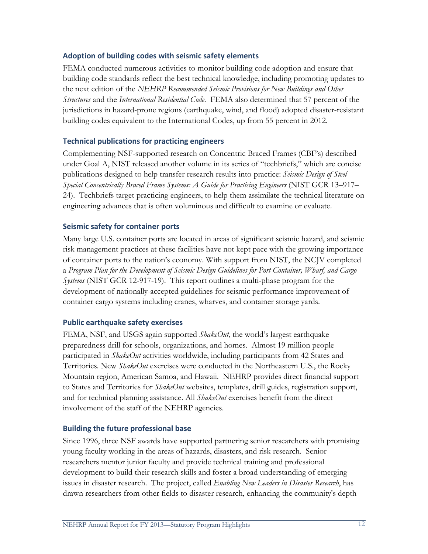## **Adoption of building codes with seismic safety elements**

FEMA conducted numerous activities to monitor building code adoption and ensure that building code standards reflect the best technical knowledge, including promoting updates to the next edition of the *NEHRP Recommended Seismic Provisions for New Buildings and Other Structures* and the *International Residential Code*. FEMA also determined that 57 percent of the jurisdictions in hazard-prone regions (earthquake, wind, and flood) adopted disaster-resistant building codes equivalent to the International Codes, up from 55 percent in 2012.

## **Technical publications for practicing engineers**

Complementing NSF-supported research on Concentric Braced Frames (CBF's) described under Goal A, NIST released another volume in its series of "techbriefs," which are concise publications designed to help transfer research results into practice: *Seismic Design of Steel Special Concentrically Braced Frame Systems: A Guide for Practicing Engineers* (NIST GCR 13–917– 24). Techbriefs target practicing engineers, to help them assimilate the technical literature on engineering advances that is often voluminous and difficult to examine or evaluate.

## **Seismic safety for container ports**

Many large U.S. container ports are located in areas of significant seismic hazard, and seismic risk management practices at these facilities have not kept pace with the growing importance of container ports to the nation's economy. With support from NIST, the NCJV completed a *Program Plan for the Development of Seismic Design Guidelines for Port Container, Wharf, and Cargo Systems* (NIST GCR 12-917-19). This report outlines a multi-phase program for the development of nationally-accepted guidelines for seismic performance improvement of container cargo systems including cranes, wharves, and container storage yards.

#### **Public earthquake safety exercises**

FEMA, NSF, and USGS again supported *ShakeOut*, the world's largest earthquake preparedness drill for schools, organizations, and homes. Almost 19 million people participated in *ShakeOut* activities worldwide, including participants from 42 States and Territories. New *ShakeOut* exercises were conducted in the Northeastern U.S., the Rocky Mountain region, American Samoa, and Hawaii. NEHRP provides direct financial support to States and Territories for *ShakeOut* websites, templates, drill guides, registration support, and for technical planning assistance. All *ShakeOut* exercises benefit from the direct involvement of the staff of the NEHRP agencies.

#### **Building the future professional base**

Since 1996, three NSF awards have supported partnering senior researchers with promising young faculty working in the areas of hazards, disasters, and risk research. Senior researchers mentor junior faculty and provide technical training and professional development to build their research skills and foster a broad understanding of emerging issues in disaster research. The project, called *Enabling New Leaders in Disaster Research*, has drawn researchers from other fields to disaster research, enhancing the community's depth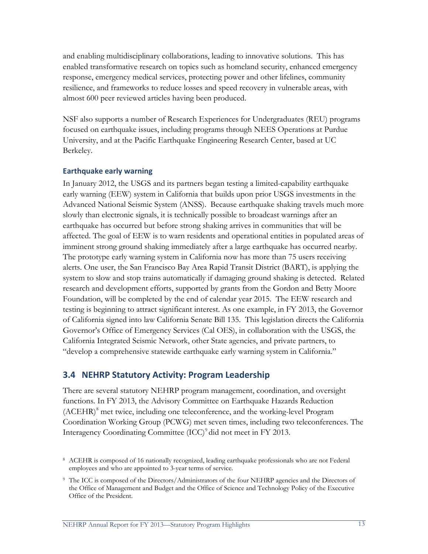and enabling multidisciplinary collaborations, leading to innovative solutions. This has enabled transformative research on topics such as homeland security, enhanced emergency response, emergency medical services, protecting power and other lifelines, community resilience, and frameworks to reduce losses and speed recovery in vulnerable areas, with almost 600 peer reviewed articles having been produced.

NSF also supports a number of Research Experiences for Undergraduates (REU) programs focused on earthquake issues, including programs through NEES Operations at Purdue University, and at the Pacific Earthquake Engineering Research Center, based at UC Berkeley.

#### **Earthquake early warning**

In January 2012, the USGS and its partners began testing a limited-capability earthquake early warning (EEW) system in California that builds upon prior USGS investments in the Advanced National Seismic System (ANSS). Because earthquake shaking travels much more slowly than electronic signals, it is technically possible to broadcast warnings after an earthquake has occurred but before strong shaking arrives in communities that will be affected. The goal of EEW is to warn residents and operational entities in populated areas of imminent strong ground shaking immediately after a large earthquake has occurred nearby. The prototype early warning system in California now has more than 75 users receiving alerts. One user, the San Francisco Bay Area Rapid Transit District (BART), is applying the system to slow and stop trains automatically if damaging ground shaking is detected. Related research and development efforts, supported by grants from the Gordon and Betty Moore Foundation, will be completed by the end of calendar year 2015. The EEW research and testing is beginning to attract significant interest. As one example, in FY 2013, the Governor of California signed into law California Senate Bill 135. This legislation directs the California Governor's Office of Emergency Services (Cal OES), in collaboration with the USGS, the California Integrated Seismic Network, other State agencies, and private partners, to "develop a comprehensive statewide earthquake early warning system in California."

# **3.4 NEHRP Statutory Activity: Program Leadership**

There are several statutory NEHRP program management, coordination, and oversight functions. In FY 2013, the Advisory Committee on Earthquake Hazards Reduction (ACEHR)[8](#page-20-0) met twice, including one teleconference, and the working-level Program Coordination Working Group (PCWG) met seven times, including two teleconferences. The Interagency Coordinating Committee (ICC)<sup>[9](#page-20-1)</sup> did not meet in FY 2013.

<span id="page-20-0"></span><sup>8</sup> ACEHR is composed of 16 nationally recognized, leading earthquake professionals who are not Federal employees and who are appointed to 3-year terms of service.

<span id="page-20-1"></span><sup>&</sup>lt;sup>9</sup> The ICC is composed of the Directors/Administrators of the four NEHRP agencies and the Directors of the Office of Management and Budget and the Office of Science and Technology Policy of the Executive Office of the President.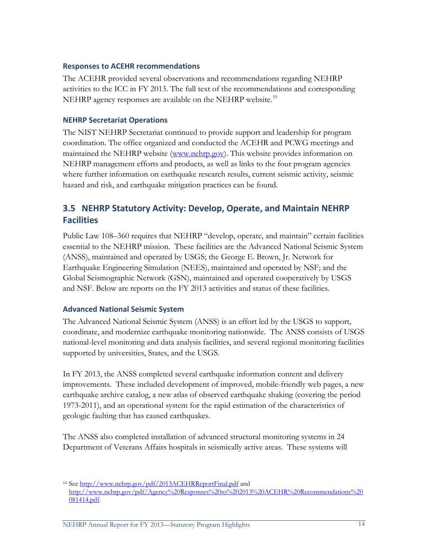#### **Responses to ACEHR recommendations**

The ACEHR provided several observations and recommendations regarding NEHRP activities to the ICC in FY 2013. The full text of the recommendations and corresponding NEHRP agency responses are available on the NEHRP website.<sup>[10](#page-21-0)</sup>

#### **NEHRP Secretariat Operations**

The NIST NEHRP Secretariat continued to provide support and leadership for program coordination. The office organized and conducted the ACEHR and PCWG meetings and maintained the NEHRP website [\(www.nehrp.gov\)](http://www.nehrp.gov/). This website provides information on NEHRP management efforts and products, as well as links to the four program agencies where further information on earthquake research results, current seismic activity, seismic hazard and risk, and earthquake mitigation practices can be found.

# **3.5 NEHRP Statutory Activity: Develop, Operate, and Maintain NEHRP Facilities**

Public Law 108–360 requires that NEHRP "develop, operate, and maintain" certain facilities essential to the NEHRP mission. These facilities are the Advanced National Seismic System (ANSS), maintained and operated by USGS; the George E. Brown, Jr. Network for Earthquake Engineering Simulation (NEES), maintained and operated by NSF; and the Global Seismographic Network (GSN), maintained and operated cooperatively by USGS and NSF. Below are reports on the FY 2013 activities and status of these facilities.

#### **Advanced National Seismic System**

The Advanced National Seismic System (ANSS) is an effort led by the USGS to support, coordinate, and modernize earthquake monitoring nationwide. The ANSS consists of USGS national-level monitoring and data analysis facilities, and several regional monitoring facilities supported by universities, States, and the USGS.

In FY 2013, the ANSS completed several earthquake information content and delivery improvements. These included development of improved, mobile-friendly web pages, a new earthquake archive catalog, a new atlas of observed earthquake shaking (covering the period 1973-2011), and an operational system for the rapid estimation of the characteristics of geologic faulting that has caused earthquakes.

The ANSS also completed installation of advanced structural monitoring systems in 24 Department of Veterans Affairs hospitals in seismically active areas. These systems will

<span id="page-21-0"></span><sup>10</sup> See<http://www.nehrp.gov/pdf/2013ACEHRReportFinal.pdf> and [http://www.nehrp.gov/pdf/Agency%20Responses%20to%202013%20ACEHR%20Recommendations%20](http://www.nehrp.gov/pdf/Agency%20Responses%20to%202013%20ACEHR%20Recommendations%20081414.pdf) [081414.pdf.](http://www.nehrp.gov/pdf/Agency%20Responses%20to%202013%20ACEHR%20Recommendations%20081414.pdf)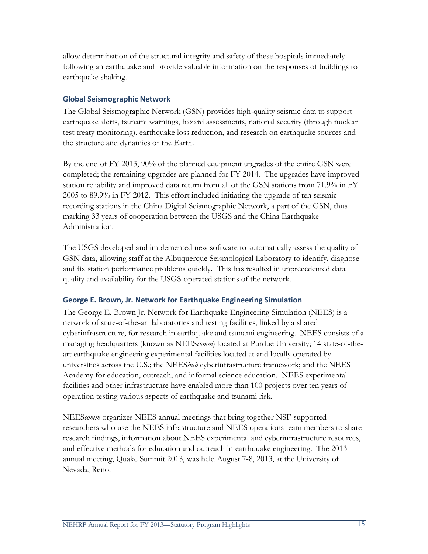allow determination of the structural integrity and safety of these hospitals immediately following an earthquake and provide valuable information on the responses of buildings to earthquake shaking.

## **Global Seismographic Network**

The Global Seismographic Network (GSN) provides high-quality seismic data to support earthquake alerts, tsunami warnings, hazard assessments, national security (through nuclear test treaty monitoring), earthquake loss reduction, and research on earthquake sources and the structure and dynamics of the Earth.

By the end of FY 2013, 90% of the planned equipment upgrades of the entire GSN were completed; the remaining upgrades are planned for FY 2014. The upgrades have improved station reliability and improved data return from all of the GSN stations from 71.9% in FY 2005 to 89.9% in FY 2012. This effort included initiating the upgrade of ten seismic recording stations in the China Digital Seismographic Network, a part of the GSN, thus marking 33 years of cooperation between the USGS and the China Earthquake Administration.

The USGS developed and implemented new software to automatically assess the quality of GSN data, allowing staff at the Albuquerque Seismological Laboratory to identify, diagnose and fix station performance problems quickly. This has resulted in unprecedented data quality and availability for the USGS-operated stations of the network.

# **George E. Brown, Jr. Network for Earthquake Engineering Simulation**

The George E. Brown Jr. Network for Earthquake Engineering Simulation (NEES) is a network of state-of-the-art laboratories and testing facilities, linked by a shared cyberinfrastructure, for research in earthquake and tsunami engineering. NEES consists of a managing headquarters (known as NEES*comm*) located at Purdue University; 14 state-of-theart earthquake engineering experimental facilities located at and locally operated by universities across the U.S.; the NEES*hub* cyberinfrastructure framework; and the NEES Academy for education, outreach, and informal science education. NEES experimental facilities and other infrastructure have enabled more than 100 projects over ten years of operation testing various aspects of earthquake and tsunami risk.

NEES*comm* organizes NEES annual meetings that bring together NSF-supported researchers who use the NEES infrastructure and NEES operations team members to share research findings, information about NEES experimental and cyberinfrastructure resources, and effective methods for education and outreach in earthquake engineering. The 2013 annual meeting, Quake Summit 2013, was held August 7-8, 2013, at the University of Nevada, Reno.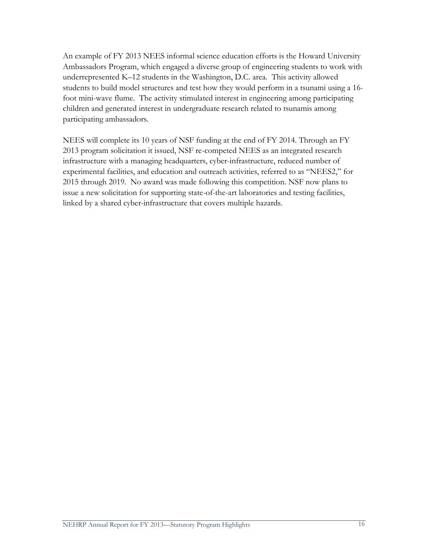An example of FY 2013 NEES informal science education efforts is the Howard University Ambassadors Program, which engaged a diverse group of engineering students to work with underrepresented K–12 students in the Washington, D.C. area. This activity allowed students to build model structures and test how they would perform in a tsunami using a 16 foot mini-wave flume. The activity stimulated interest in engineering among participating children and generated interest in undergraduate research related to tsunamis among participating ambassadors.

NEES will complete its 10 years of NSF funding at the end of FY 2014. Through an FY 2013 program solicitation it issued, NSF re-competed NEES as an integrated research infrastructure with a managing headquarters, cyber-infrastructure, reduced number of experimental facilities, and education and outreach activities, referred to as "NEES2," for 2015 through 2019. No award was made following this competition. NSF now plans to issue a new solicitation for supporting state-of-the-art laboratories and testing facilities, linked by a shared cyber-infrastructure that covers multiple hazards.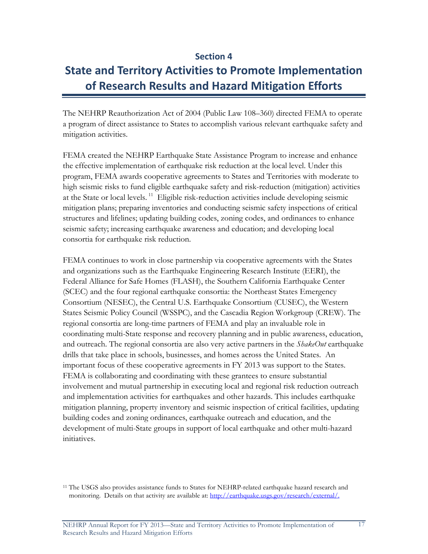# **Section 4**

# **State and Territory Activities to Promote Implementation of Research Results and Hazard Mitigation Efforts**

The NEHRP Reauthorization Act of 2004 (Public Law 108–360) directed FEMA to operate a program of direct assistance to States to accomplish various relevant earthquake safety and mitigation activities.

FEMA created the NEHRP Earthquake State Assistance Program to increase and enhance the effective implementation of earthquake risk reduction at the local level. Under this program, FEMA awards cooperative agreements to States and Territories with moderate to high seismic risks to fund eligible earthquake safety and risk-reduction (mitigation) activities at the State or local levels.<sup>[11](#page-24-0)</sup> Eligible risk-reduction activities include developing seismic mitigation plans; preparing inventories and conducting seismic safety inspections of critical structures and lifelines; updating building codes, zoning codes, and ordinances to enhance seismic safety; increasing earthquake awareness and education; and developing local consortia for earthquake risk reduction.

FEMA continues to work in close partnership via cooperative agreements with the States and organizations such as the Earthquake Engineering Research Institute (EERI), the Federal Alliance for Safe Homes (FLASH), the Southern California Earthquake Center (SCEC) and the four regional earthquake consortia: the Northeast States Emergency Consortium (NESEC), the Central U.S. Earthquake Consortium (CUSEC), the Western States Seismic Policy Council (WSSPC), and the Cascadia Region Workgroup (CREW). The regional consortia are long-time partners of FEMA and play an invaluable role in coordinating multi-State response and recovery planning and in public awareness, education, and outreach. The regional consortia are also very active partners in the *ShakeOut* earthquake drills that take place in schools, businesses, and homes across the United States. An important focus of these cooperative agreements in FY 2013 was support to the States. FEMA is collaborating and coordinating with these grantees to ensure substantial involvement and mutual partnership in executing local and regional risk reduction outreach and implementation activities for earthquakes and other hazards. This includes earthquake mitigation planning, property inventory and seismic inspection of critical facilities, updating building codes and zoning ordinances, earthquake outreach and education, and the development of multi-State groups in support of local earthquake and other multi-hazard initiatives.

<span id="page-24-0"></span><sup>&</sup>lt;sup>11</sup> The USGS also provides assistance funds to States for NEHRP-related earthquake hazard research and monitoring. Details on that activity are available at: [http://earthquake.usgs.gov/research/external/.](http://earthquake.usgs.gov/research/external/)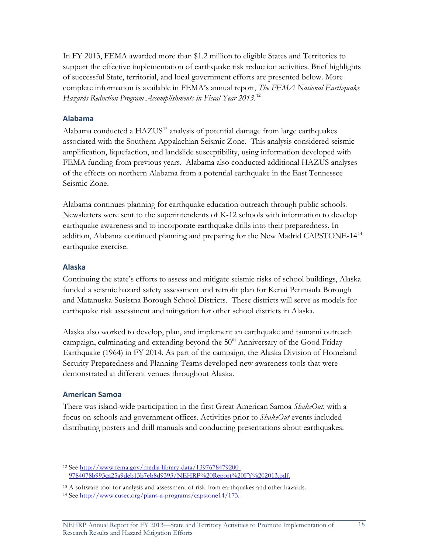In FY 2013, FEMA awarded more than \$1.2 million to eligible States and Territories to support the effective implementation of earthquake risk reduction activities. Brief highlights of successful State, territorial, and local government efforts are presented below. More complete information is available in FEMA's annual report, *The FEMA National Earthquake Hazards Reduction Program Accomplishments in Fiscal Year 2013.* [12](#page-25-0)*20* 

#### **Alabama**

Alabama conducted a  $HAZUS<sup>13</sup>$  $HAZUS<sup>13</sup>$  $HAZUS<sup>13</sup>$  analysis of potential damage from large earthquakes associated with the Southern Appalachian Seismic Zone. This analysis considered seismic amplification, liquefaction, and landslide susceptibility, using information developed with FEMA funding from previous years. Alabama also conducted additional HAZUS analyses of the effects on northern Alabama from a potential earthquake in the East Tennessee Seismic Zone.

Alabama continues planning for earthquake education outreach through public schools. Newsletters were sent to the superintendents of K-12 schools with information to develop earthquake awareness and to incorporate earthquake drills into their preparedness. In addition, Alabama continued planning and preparing for the New Madrid CAPSTONE-14[14](#page-25-2) earthquake exercise.

#### **Alaska**

Continuing the state's efforts to assess and mitigate seismic risks of school buildings, Alaska funded a seismic hazard safety assessment and retrofit plan for Kenai Peninsula Borough and Matanuska-Susistna Borough School Districts. These districts will serve as models for earthquake risk assessment and mitigation for other school districts in Alaska.

Alaska also worked to develop, plan, and implement an earthquake and tsunami outreach campaign, culminating and extending beyond the  $50<sup>th</sup>$  Anniversary of the Good Friday Earthquake (1964) in FY 2014. As part of the campaign, the Alaska Division of Homeland Security Preparedness and Planning Teams developed new awareness tools that were demonstrated at different venues throughout Alaska.

#### **American Samoa**

There was island-wide participation in the first Great American Samoa *ShakeOut*, with a focus on schools and government offices. Activities prior to *ShakeOut* events included distributing posters and drill manuals and conducting presentations about earthquakes.

<span id="page-25-0"></span><sup>12</sup> See [http://www.fema.gov/media-library-data/1397678479200-](http://www.fema.gov/media-library-data/1397678479200-9784078b993ca25a9deb13b7eb8d9393/NEHRP%20Report%20FY%202013.pdf) [9784078b993ca25a9deb13b7eb8d9393/NEHRP%20Report%20FY%202013.pdf.](http://www.fema.gov/media-library-data/1397678479200-9784078b993ca25a9deb13b7eb8d9393/NEHRP%20Report%20FY%202013.pdf)

<sup>13</sup> A software tool for analysis and assessment of risk from earthquakes and other hazards.

<span id="page-25-2"></span><span id="page-25-1"></span><sup>14</sup> See [http://www.cusec.org/plans-a-programs/capstone14/173.](http://www.cusec.org/plans-a-programs/capstone14/173)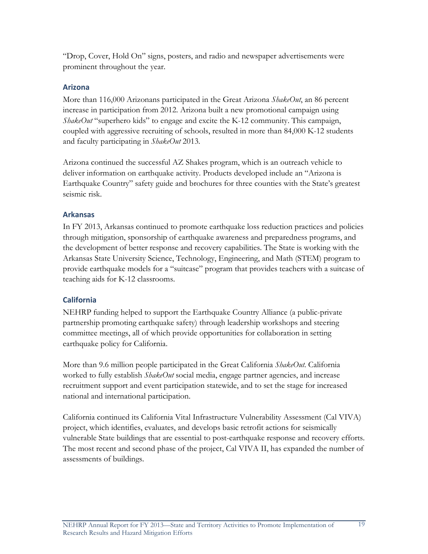"Drop, Cover, Hold On" signs, posters, and radio and newspaper advertisements were prominent throughout the year.

# **Arizona**

More than 116,000 Arizonans participated in the Great Arizona *ShakeOut*, an 86 percent increase in participation from 2012. Arizona built a new promotional campaign using *ShakeOut* "superhero kids" to engage and excite the K-12 community. This campaign, coupled with aggressive recruiting of schools, resulted in more than 84,000 K-12 students and faculty participating in *ShakeOut* 2013.

Arizona continued the successful AZ Shakes program, which is an outreach vehicle to deliver information on earthquake activity. Products developed include an "Arizona is Earthquake Country" safety guide and brochures for three counties with the State's greatest seismic risk.

## **Arkansas**

In FY 2013, Arkansas continued to promote earthquake loss reduction practices and policies through mitigation, sponsorship of earthquake awareness and preparedness programs, and the development of better response and recovery capabilities. The State is working with the Arkansas State University Science, Technology, Engineering, and Math (STEM) program to provide earthquake models for a "suitcase" program that provides teachers with a suitcase of teaching aids for K-12 classrooms.

# **California**

NEHRP funding helped to support the Earthquake Country Alliance (a public-private partnership promoting earthquake safety) through leadership workshops and steering committee meetings, all of which provide opportunities for collaboration in setting earthquake policy for California.

More than 9.6 million people participated in the Great California *ShakeOut*. California worked to fully establish *ShakeOut* social media, engage partner agencies, and increase recruitment support and event participation statewide, and to set the stage for increased national and international participation.

California continued its California Vital Infrastructure Vulnerability Assessment (Cal VIVA) project, which identifies, evaluates, and develops basic retrofit actions for seismically vulnerable State buildings that are essential to post-earthquake response and recovery efforts. The most recent and second phase of the project, Cal VIVA II, has expanded the number of assessments of buildings.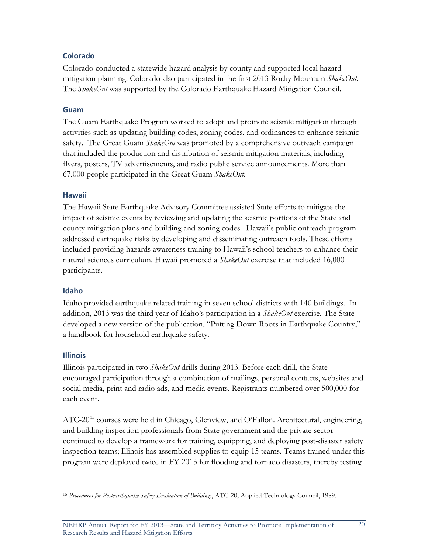# **Colorado**

Colorado conducted a statewide hazard analysis by county and supported local hazard mitigation planning. Colorado also participated in the first 2013 Rocky Mountain *ShakeOut*. The *ShakeOut* was supported by the Colorado Earthquake Hazard Mitigation Council.

# **Guam**

The Guam Earthquake Program worked to adopt and promote seismic mitigation through activities such as updating building codes, zoning codes, and ordinances to enhance seismic safety. The Great Guam *ShakeOut* was promoted by a comprehensive outreach campaign that included the production and distribution of seismic mitigation materials, including flyers, posters, TV advertisements, and radio public service announcements. More than 67,000 people participated in the Great Guam *ShakeOut*.

## **Hawaii**

The Hawaii State Earthquake Advisory Committee assisted State efforts to mitigate the impact of seismic events by reviewing and updating the seismic portions of the State and county mitigation plans and building and zoning codes. Hawaii's public outreach program addressed earthquake risks by developing and disseminating outreach tools. These efforts included providing hazards awareness training to Hawaii's school teachers to enhance their natural sciences curriculum. Hawaii promoted a *ShakeOut* exercise that included 16,000 participants.

# **Idaho**

Idaho provided earthquake-related training in seven school districts with 140 buildings. In addition, 2013 was the third year of Idaho's participation in a *ShakeOut* exercise. The State developed a new version of the publication, "Putting Down Roots in Earthquake Country," a handbook for household earthquake safety.

# **Illinois**

Illinois participated in two *ShakeOut* drills during 2013. Before each drill, the State encouraged participation through a combination of mailings, personal contacts, websites and social media, print and radio ads, and media events. Registrants numbered over 500,000 for each event.

ATC-20<sup>[15](#page-27-0)</sup> courses were held in Chicago, Glenview, and O'Fallon. Architectural, engineering, and building inspection professionals from State government and the private sector continued to develop a framework for training, equipping, and deploying post-disaster safety inspection teams; Illinois has assembled supplies to equip 15 teams. Teams trained under this program were deployed twice in FY 2013 for flooding and tornado disasters, thereby testing

<span id="page-27-0"></span><sup>15</sup> *Procedures for Postearthquake Safety Evaluation of Buildings*, ATC-20, Applied Technology Council, 1989.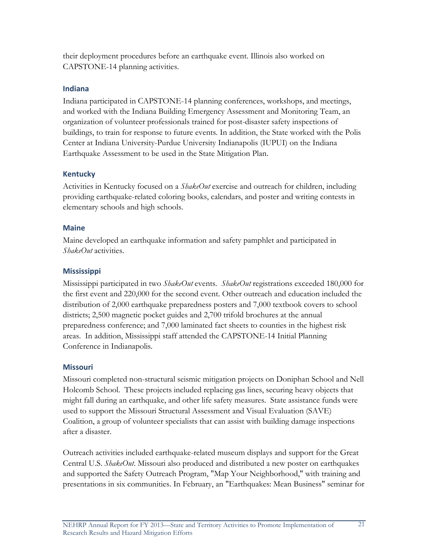their deployment procedures before an earthquake event. Illinois also worked on CAPSTONE-14 planning activities.

#### **Indiana**

Indiana participated in CAPSTONE-14 planning conferences, workshops, and meetings, and worked with the Indiana Building Emergency Assessment and Monitoring Team, an organization of volunteer professionals trained for post-disaster safety inspections of buildings, to train for response to future events. In addition, the State worked with the Polis Center at Indiana University-Purdue University Indianapolis (IUPUI) on the Indiana Earthquake Assessment to be used in the State Mitigation Plan.

## **Kentucky**

Activities in Kentucky focused on a *ShakeOut* exercise and outreach for children, including providing earthquake-related coloring books, calendars, and poster and writing contests in elementary schools and high schools.

## **Maine**

Maine developed an earthquake information and safety pamphlet and participated in *ShakeOut* activities.

# **Mississippi**

Mississippi participated in two *ShakeOut* events. *ShakeOut* registrations exceeded 180,000 for the first event and 220,000 for the second event. Other outreach and education included the distribution of 2,000 earthquake preparedness posters and 7,000 textbook covers to school districts; 2,500 magnetic pocket guides and 2,700 trifold brochures at the annual preparedness conference; and 7,000 laminated fact sheets to counties in the highest risk areas. In addition, Mississippi staff attended the CAPSTONE-14 Initial Planning Conference in Indianapolis.

# **Missouri**

Missouri completed non-structural seismic mitigation projects on Doniphan School and Nell Holcomb School. These projects included replacing gas lines, securing heavy objects that might fall during an earthquake, and other life safety measures. State assistance funds were used to support the Missouri Structural Assessment and Visual Evaluation (SAVE) Coalition, a group of volunteer specialists that can assist with building damage inspections after a disaster.

Outreach activities included earthquake-related museum displays and support for the Great Central U.S. *ShakeOut*. Missouri also produced and distributed a new poster on earthquakes and supported the Safety Outreach Program, "Map Your Neighborhood," with training and presentations in six communities. In February, an "Earthquakes: Mean Business" seminar for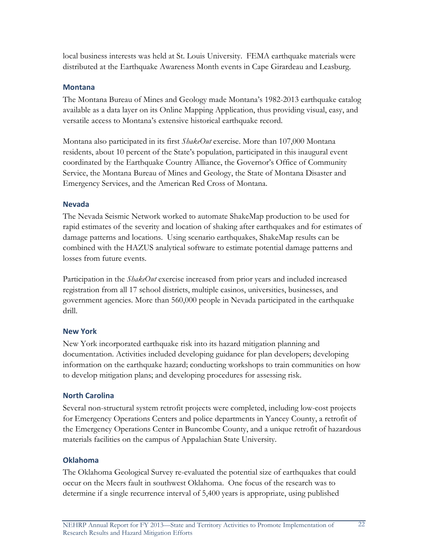local business interests was held at St. Louis University. FEMA earthquake materials were distributed at the Earthquake Awareness Month events in Cape Girardeau and Leasburg.

#### **Montana**

The Montana Bureau of Mines and Geology made Montana's 1982-2013 earthquake catalog available as a data layer on its Online Mapping Application, thus providing visual, easy, and versatile access to Montana's extensive historical earthquake record.

Montana also participated in its first *ShakeOut* exercise. More than 107,000 Montana residents, about 10 percent of the State's population, participated in this inaugural event coordinated by the Earthquake Country Alliance, the Governor's Office of Community Service, the Montana Bureau of Mines and Geology, the State of Montana Disaster and Emergency Services, and the American Red Cross of Montana.

#### **Nevada**

The Nevada Seismic Network worked to automate ShakeMap production to be used for rapid estimates of the severity and location of shaking after earthquakes and for estimates of damage patterns and locations. Using scenario earthquakes, ShakeMap results can be combined with the HAZUS analytical software to estimate potential damage patterns and losses from future events.

Participation in the *ShakeOut* exercise increased from prior years and included increased registration from all 17 school districts, multiple casinos, universities, businesses, and government agencies. More than 560,000 people in Nevada participated in the earthquake drill.

#### **New York**

New York incorporated earthquake risk into its hazard mitigation planning and documentation. Activities included developing guidance for plan developers; developing information on the earthquake hazard; conducting workshops to train communities on how to develop mitigation plans; and developing procedures for assessing risk.

#### **North Carolina**

Several non-structural system retrofit projects were completed, including low-cost projects for Emergency Operations Centers and police departments in Yancey County, a retrofit of the Emergency Operations Center in Buncombe County, and a unique retrofit of hazardous materials facilities on the campus of Appalachian State University.

#### **Oklahoma**

The Oklahoma Geological Survey re-evaluated the potential size of earthquakes that could occur on the Meers fault in southwest Oklahoma. One focus of the research was to determine if a single recurrence interval of 5,400 years is appropriate, using published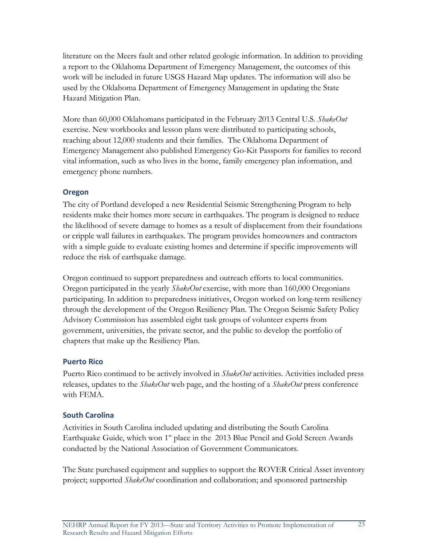literature on the Meers fault and other related geologic information. In addition to providing a report to the Oklahoma Department of Emergency Management, the outcomes of this work will be included in future USGS Hazard Map updates. The information will also be used by the Oklahoma Department of Emergency Management in updating the State Hazard Mitigation Plan.

More than 60,000 Oklahomans participated in the February 2013 Central U.S. *ShakeOut* exercise. New workbooks and lesson plans were distributed to participating schools, reaching about 12,000 students and their families. The Oklahoma Department of Emergency Management also published Emergency Go-Kit Passports for families to record vital information, such as who lives in the home, family emergency plan information, and emergency phone numbers.

# **Oregon**

The city of Portland developed a new Residential Seismic Strengthening Program to help residents make their homes more secure in earthquakes. The program is designed to reduce the likelihood of severe damage to homes as a result of displacement from their foundations or cripple wall failures in earthquakes. The program provides homeowners and contractors with a simple guide to evaluate existing homes and determine if specific improvements will reduce the risk of earthquake damage.

Oregon continued to support preparedness and outreach efforts to local communities. Oregon participated in the yearly *ShakeOut* exercise, with more than 160,000 Oregonians participating. In addition to preparedness initiatives, Oregon worked on long-term resiliency through the development of the Oregon Resiliency Plan. The Oregon Seismic Safety Policy Advisory Commission has assembled eight task groups of volunteer experts from government, universities, the private sector, and the public to develop the portfolio of chapters that make up the Resiliency Plan.

# **Puerto Rico**

Puerto Rico continued to be actively involved in *ShakeOut* activities. Activities included press releases, updates to the *ShakeOut* web page, and the hosting of a *ShakeOut* press conference with FEMA.

# **South Carolina**

Activities in South Carolina included updating and distributing the South Carolina Earthquake Guide, which won 1<sup>st</sup> place in the 2013 Blue Pencil and Gold Screen Awards conducted by the National Association of Government Communicators.

The State purchased equipment and supplies to support the ROVER Critical Asset inventory project; supported *ShakeOut* coordination and collaboration; and sponsored partnership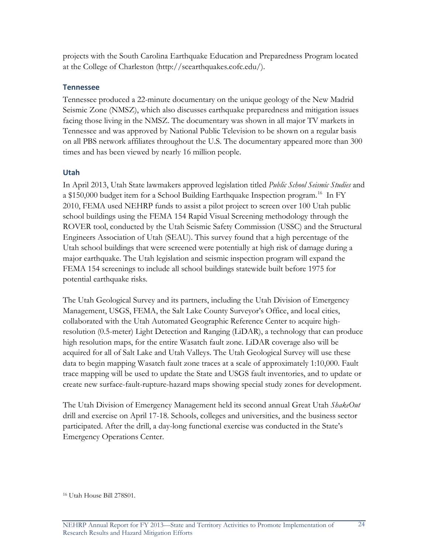projects with the South Carolina Earthquake Education and Preparedness Program located at the College of Charleston (http://scearthquakes.cofc.edu/).

#### **Tennessee**

Tennessee produced a 22-minute documentary on the unique geology of the New Madrid Seismic Zone (NMSZ), which also discusses earthquake preparedness and mitigation issues facing those living in the NMSZ. The documentary was shown in all major TV markets in Tennessee and was approved by National Public Television to be shown on a regular basis on all PBS network affiliates throughout the U.S. The documentary appeared more than 300 times and has been viewed by nearly 16 million people.

# **Utah**

In April 2013, Utah State lawmakers approved legislation titled *Public School Seismic Studies* and a \$150,000 budget item for a School Building Earthquake Inspection program.<sup>[16](#page-31-0)</sup> In FY 2010, FEMA used NEHRP funds to assist a pilot project to screen over 100 Utah public school buildings using the FEMA 154 Rapid Visual Screening methodology through the ROVER tool, conducted by the Utah Seismic Safety Commission (USSC) and the Structural Engineers Association of Utah (SEAU). This survey found that a high percentage of the Utah school buildings that were screened were potentially at high risk of damage during a major earthquake. The Utah legislation and seismic inspection program will expand the FEMA 154 screenings to include all school buildings statewide built before 1975 for potential earthquake risks.

The Utah Geological Survey and its partners, including the Utah Division of Emergency Management, USGS, FEMA, the Salt Lake County Surveyor's Office, and local cities, collaborated with the Utah Automated Geographic Reference Center to acquire highresolution (0.5-meter) Light Detection and Ranging (LiDAR), a technology that can produce high resolution maps, for the entire Wasatch fault zone. LiDAR coverage also will be acquired for all of Salt Lake and Utah Valleys. The Utah Geological Survey will use these data to begin mapping Wasatch fault zone traces at a scale of approximately 1:10,000. Fault trace mapping will be used to update the State and USGS fault inventories, and to update or create new surface-fault-rupture-hazard maps showing special study zones for development.

The Utah Division of Emergency Management held its second annual Great Utah *ShakeOut*  drill and exercise on April 17-18. Schools, colleges and universities, and the business sector participated. After the drill, a day-long functional exercise was conducted in the State's Emergency Operations Center.

<span id="page-31-0"></span><sup>16</sup> Utah House Bill 278S01.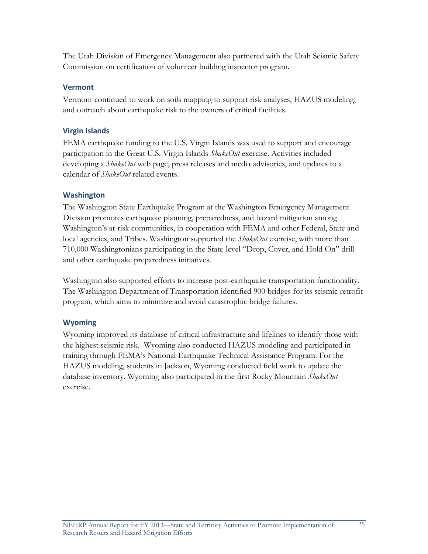The Utah Division of Emergency Management also partnered with the Utah Seismic Safety Commission on certification of volunteer building inspector program.

## **Vermont**

Vermont continued to work on soils mapping to support risk analyses, HAZUS modeling, and outreach about earthquake risk to the owners of critical facilities.

# **Virgin Islands**

FEMA earthquake funding to the U.S. Virgin Islands was used to support and encourage participation in the Great U.S. Virgin Islands *ShakeOut* exercise. Activities included developing a *ShakeOut* web page, press releases and media advisories, and updates to a calendar of *ShakeOut* related events.

## **Washington**

The Washington State Earthquake Program at the Washington Emergency Management Division promotes earthquake planning, preparedness, and hazard mitigation among Washington's at-risk communities, in cooperation with FEMA and other Federal, State and local agencies, and Tribes. Washington supported the *ShakeOut* exercise, with more than 710,000 Washingtonians participating in the State-level "Drop, Cover, and Hold On" drill and other earthquake preparedness initiatives.

Washington also supported efforts to increase post-earthquake transportation functionality. The Washington Department of Transportation identified 900 bridges for its seismic retrofit program, which aims to minimize and avoid catastrophic bridge failures.

# **Wyoming**

Wyoming improved its database of critical infrastructure and lifelines to identify those with the highest seismic risk. Wyoming also conducted HAZUS modeling and participated in training through FEMA's National Earthquake Technical Assistance Program. For the HAZUS modeling, students in Jackson, Wyoming conducted field work to update the database inventory. Wyoming also participated in the first Rocky Mountain *ShakeOut* exercise.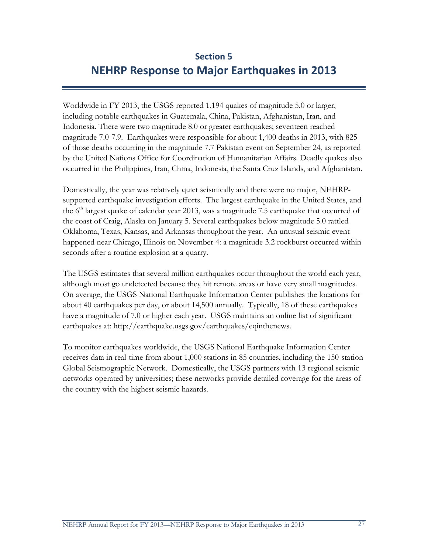# **Section 5 NEHRP Response to Major Earthquakes in 2013**

Worldwide in FY 2013, the USGS reported 1,194 quakes of magnitude 5.0 or larger, including notable earthquakes in Guatemala, China, Pakistan, Afghanistan, Iran, and Indonesia. There were two magnitude 8.0 or greater earthquakes; seventeen reached magnitude 7.0-7.9. Earthquakes were responsible for about 1,400 deaths in 2013, with 825 of those deaths occurring in the magnitude 7.7 Pakistan event on September 24, as reported by the United Nations Office for Coordination of Humanitarian Affairs. Deadly quakes also occurred in the Philippines, Iran, China, Indonesia, the Santa Cruz Islands, and Afghanistan.

Domestically, the year was relatively quiet seismically and there were no major, NEHRPsupported earthquake investigation efforts. The largest earthquake in the United States, and the  $6<sup>th</sup>$  largest quake of calendar year 2013, was a magnitude 7.5 earthquake that occurred of the coast of Craig, Alaska on January 5. Several earthquakes below magnitude 5.0 rattled Oklahoma, Texas, Kansas, and Arkansas throughout the year. An unusual seismic event happened near Chicago, Illinois on November 4: a magnitude 3.2 rockburst occurred within seconds after a routine explosion at a quarry.

The USGS estimates that several million earthquakes occur throughout the world each year, although most go undetected because they hit remote areas or have very small magnitudes. On average, the USGS National Earthquake Information Center publishes the locations for about 40 earthquakes per day, or about 14,500 annually. Typically, 18 of these earthquakes have a magnitude of 7.0 or higher each year. USGS maintains an online list of significant earthquakes at: http://earthquake.usgs.gov/earthquakes/eqinthenews.

To monitor earthquakes worldwide, the USGS National Earthquake Information Center receives data in real-time from about 1,000 stations in 85 countries, including the 150-station Global Seismographic Network. Domestically, the USGS partners with 13 regional seismic networks operated by universities; these networks provide detailed coverage for the areas of the country with the highest seismic hazards.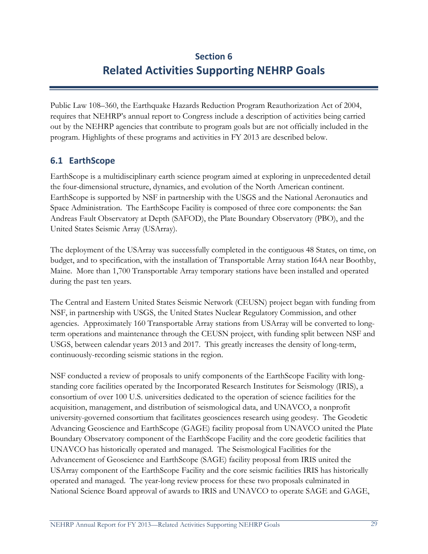# **Section 6 Related Activities Supporting NEHRP Goals**

Public Law 108–360, the Earthquake Hazards Reduction Program Reauthorization Act of 2004, requires that NEHRP's annual report to Congress include a description of activities being carried out by the NEHRP agencies that contribute to program goals but are not officially included in the program. Highlights of these programs and activities in FY 2013 are described below.

# **6.1 EarthScope**

EarthScope is a multidisciplinary earth science program aimed at exploring in unprecedented detail the four-dimensional structure, dynamics, and evolution of the North American continent. EarthScope is supported by NSF in partnership with the USGS and the National Aeronautics and Space Administration. The EarthScope Facility is composed of three core components: the San Andreas Fault Observatory at Depth (SAFOD), the Plate Boundary Observatory (PBO), and the United States Seismic Array (USArray).

The deployment of the USArray was successfully completed in the contiguous 48 States, on time, on budget, and to specification, with the installation of Transportable Array station I64A near Boothby, Maine. More than 1,700 Transportable Array temporary stations have been installed and operated during the past ten years.

The Central and Eastern United States Seismic Network (CEUSN) project began with funding from NSF, in partnership with USGS, the United States Nuclear Regulatory Commission, and other agencies. Approximately 160 Transportable Array stations from USArray will be converted to longterm operations and maintenance through the CEUSN project, with funding split between NSF and USGS, between calendar years 2013 and 2017. This greatly increases the density of long-term, continuously-recording seismic stations in the region.

NSF conducted a review of proposals to unify components of the EarthScope Facility with longstanding core facilities operated by the Incorporated Research Institutes for Seismology (IRIS), a consortium of over 100 U.S. universities dedicated to the operation of science facilities for the acquisition, management, and distribution of seismological data, and UNAVCO, a nonprofit university-governed consortium that facilitates geosciences research using geodesy. The Geodetic Advancing Geoscience and EarthScope (GAGE) facility proposal from UNAVCO united the Plate Boundary Observatory component of the EarthScope Facility and the core geodetic facilities that UNAVCO has historically operated and managed. The Seismological Facilities for the Advancement of Geoscience and EarthScope (SAGE) facility proposal from IRIS united the USArray component of the EarthScope Facility and the core seismic facilities IRIS has historically operated and managed. The year-long review process for these two proposals culminated in National Science Board approval of awards to IRIS and UNAVCO to operate SAGE and GAGE,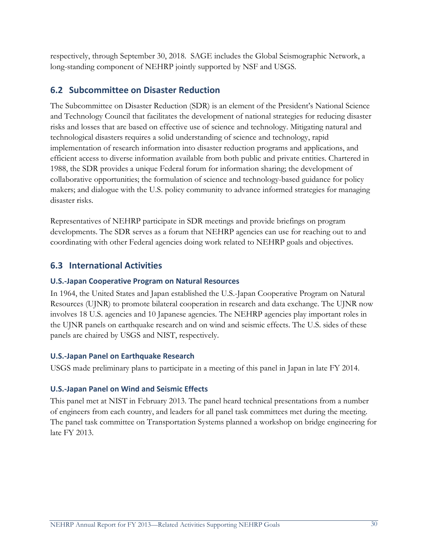respectively, through September 30, 2018. SAGE includes the Global Seismographic Network, a long-standing component of NEHRP jointly supported by NSF and USGS.

# **6.2 Subcommittee on Disaster Reduction**

The Subcommittee on Disaster Reduction (SDR) is an element of the President's National Science and Technology Council that facilitates the development of national strategies for reducing disaster risks and losses that are based on effective use of science and technology. Mitigating natural and technological disasters requires a solid understanding of science and technology, rapid implementation of research information into disaster reduction programs and applications, and efficient access to diverse information available from both public and private entities. Chartered in 1988, the SDR provides a unique Federal forum for information sharing; the development of collaborative opportunities; the formulation of science and technology-based guidance for policy makers; and dialogue with the U.S. policy community to advance informed strategies for managing disaster risks.

Representatives of NEHRP participate in SDR meetings and provide briefings on program developments. The SDR serves as a forum that NEHRP agencies can use for reaching out to and coordinating with other Federal agencies doing work related to NEHRP goals and objectives.

# **6.3 International Activities**

# **U.S.-Japan Cooperative Program on Natural Resources**

In 1964, the United States and Japan established the U.S.-Japan Cooperative Program on Natural Resources (UJNR) to promote bilateral cooperation in research and data exchange. The UJNR now involves 18 U.S. agencies and 10 Japanese agencies. The NEHRP agencies play important roles in the UJNR panels on earthquake research and on wind and seismic effects. The U.S. sides of these panels are chaired by USGS and NIST, respectively.

# **U.S.-Japan Panel on Earthquake Research**

USGS made preliminary plans to participate in a meeting of this panel in Japan in late FY 2014.

# **U.S.-Japan Panel on Wind and Seismic Effects**

This panel met at NIST in February 2013. The panel heard technical presentations from a number of engineers from each country, and leaders for all panel task committees met during the meeting. The panel task committee on Transportation Systems planned a workshop on bridge engineering for late FY 2013.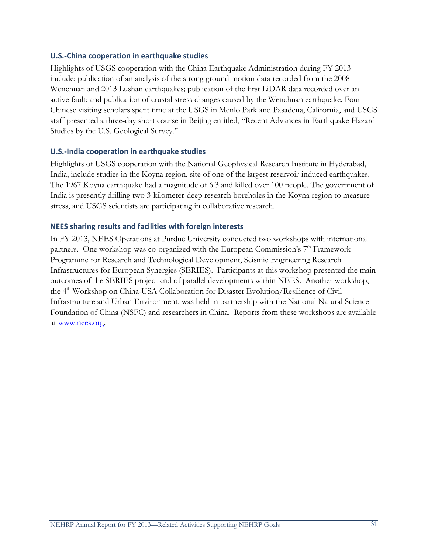#### **U.S.-China cooperation in earthquake studies**

Highlights of USGS cooperation with the China Earthquake Administration during FY 2013 include: publication of an analysis of the strong ground motion data recorded from the 2008 Wenchuan and 2013 Lushan earthquakes; publication of the first LiDAR data recorded over an active fault; and publication of crustal stress changes caused by the Wenchuan earthquake. Four Chinese visiting scholars spent time at the USGS in Menlo Park and Pasadena, California, and USGS staff presented a three-day short course in Beijing entitled, "Recent Advances in Earthquake Hazard Studies by the U.S. Geological Survey."

## **U.S.-India cooperation in earthquake studies**

Highlights of USGS cooperation with the National Geophysical Research Institute in Hyderabad, India, include studies in the Koyna region, site of one of the largest reservoir-induced earthquakes. The 1967 Koyna earthquake had a magnitude of 6.3 and killed over 100 people. The government of India is presently drilling two 3-kilometer-deep research boreholes in the Koyna region to measure stress, and USGS scientists are participating in collaborative research.

## **NEES sharing results and facilities with foreign interests**

In FY 2013, NEES Operations at Purdue University conducted two workshops with international partners. One workshop was co-organized with the European Commission's  $7<sup>th</sup>$  Framework Programme for Research and Technological Development, Seismic Engineering Research Infrastructures for European Synergies (SERIES). Participants at this workshop presented the main outcomes of the SERIES project and of parallel developments within NEES. Another workshop, the 4<sup>th</sup> Workshop on China-USA Collaboration for Disaster Evolution/Resilience of Civil Infrastructure and Urban Environment, was held in partnership with the National Natural Science Foundation of China (NSFC) and researchers in China. Reports from these workshops are available at [www.nees.org.](http://www.nees.org/)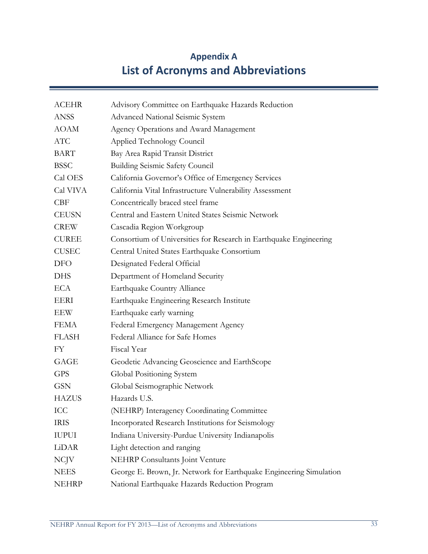# **Appendix A List of Acronyms and Abbreviations**

| <b>ACEHR</b> | Advisory Committee on Earthquake Hazards Reduction                 |
|--------------|--------------------------------------------------------------------|
| <b>ANSS</b>  | Advanced National Seismic System                                   |
| <b>AOAM</b>  | Agency Operations and Award Management                             |
| <b>ATC</b>   | Applied Technology Council                                         |
| <b>BART</b>  | Bay Area Rapid Transit District                                    |
| <b>BSSC</b>  | <b>Building Seismic Safety Council</b>                             |
| Cal OES      | California Governor's Office of Emergency Services                 |
| Cal VIVA     | California Vital Infrastructure Vulnerability Assessment           |
| <b>CBF</b>   | Concentrically braced steel frame                                  |
| <b>CEUSN</b> | Central and Eastern United States Seismic Network                  |
| <b>CREW</b>  | Cascadia Region Workgroup                                          |
| <b>CUREE</b> | Consortium of Universities for Research in Earthquake Engineering  |
| <b>CUSEC</b> | Central United States Earthquake Consortium                        |
| <b>DFO</b>   | Designated Federal Official                                        |
| <b>DHS</b>   | Department of Homeland Security                                    |
| <b>ECA</b>   | Earthquake Country Alliance                                        |
| <b>EERI</b>  | Earthquake Engineering Research Institute                          |
| EEW          | Earthquake early warning                                           |
| <b>FEMA</b>  | Federal Emergency Management Agency                                |
| <b>FLASH</b> | Federal Alliance for Safe Homes                                    |
| <b>FY</b>    | Fiscal Year                                                        |
| GAGE         | Geodetic Advancing Geoscience and EarthScope                       |
| <b>GPS</b>   | Global Positioning System                                          |
| <b>GSN</b>   | Global Seismographic Network                                       |
| <b>HAZUS</b> | Hazards U.S.                                                       |
| ICC          | (NEHRP) Interagency Coordinating Committee                         |
| <b>IRIS</b>  | Incorporated Research Institutions for Seismology                  |
| <b>IUPUI</b> | Indiana University-Purdue University Indianapolis                  |
| LiDAR        | Light detection and ranging                                        |
| <b>NCJV</b>  | <b>NEHRP</b> Consultants Joint Venture                             |
| <b>NEES</b>  | George E. Brown, Jr. Network for Earthquake Engineering Simulation |
| <b>NEHRP</b> | National Earthquake Hazards Reduction Program                      |